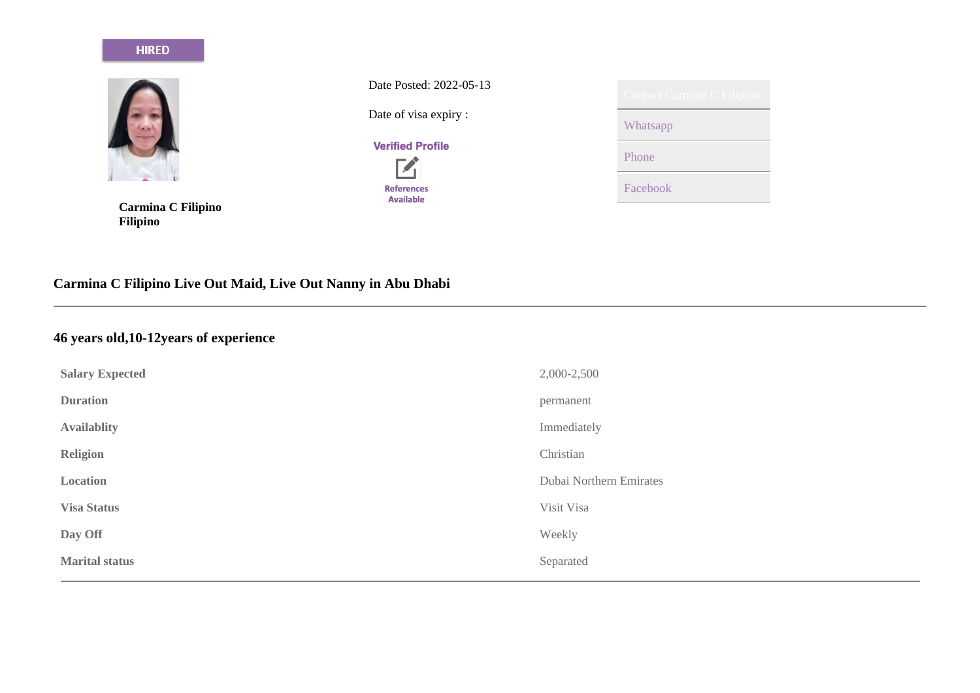#### **HIRED**



**Carmina C Filipino Filipino**

Date Posted: 2022-05-13

Date of visa expiry :

## **Verified Profile**



| Contact Carmina C Filipino |
|----------------------------|
| Whatsapp                   |
| Phone                      |
| Facebook                   |

# **Carmina C Filipino Live Out Maid, Live Out Nanny in Abu Dhabi**

## **46 years old,10-12years of experience**

| <b>Salary Expected</b> | 2,000-2,500             |
|------------------------|-------------------------|
| <b>Duration</b>        | permanent               |
| <b>Availablity</b>     | Immediately             |
| Religion               | Christian               |
| Location               | Dubai Northern Emirates |
| <b>Visa Status</b>     | Visit Visa              |
| Day Off                | Weekly                  |
| <b>Marital status</b>  | Separated               |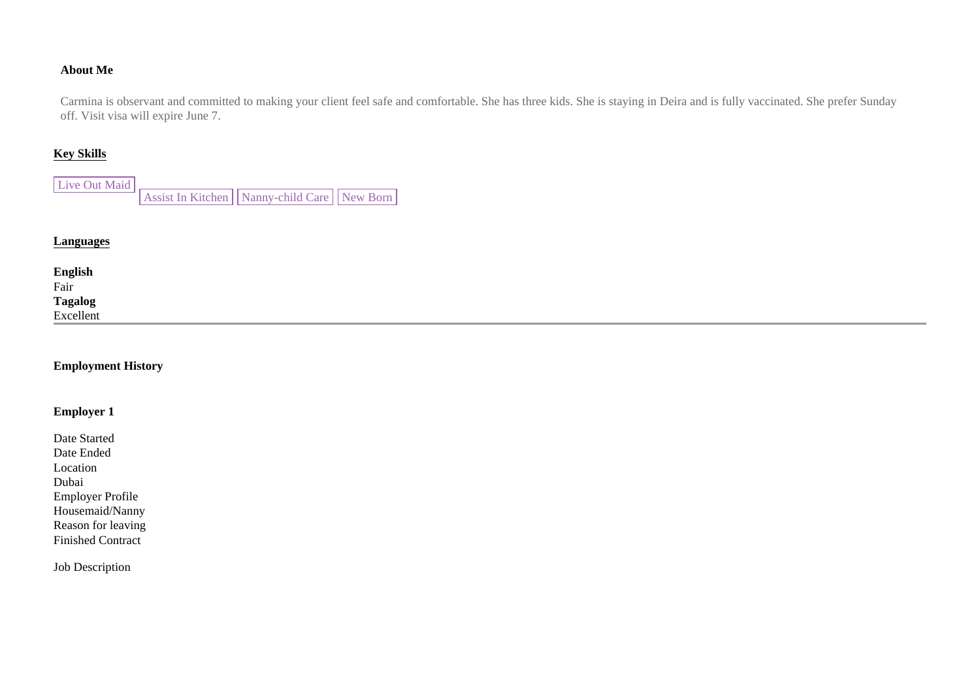#### **About Me**

Carmina is observant and committed to making your client feel safe and comfortable. She has three kids. She is staying in Deira and is fully vaccinated. She prefer Sunday off. Visit visa will expire June 7.

#### **Key Skills**

| Live Out Maid |                                                     |  |
|---------------|-----------------------------------------------------|--|
|               | Assist In Kitchen     Nanny-child Care     New Born |  |

#### **Languages**

| <b>English</b><br>Fair      |  |  |
|-----------------------------|--|--|
| <b>Tagalog</b><br>Excellent |  |  |
|                             |  |  |
|                             |  |  |

#### **Employment History**

#### **Employer 1**

Date Started Date Ended Location Dubai Employer Profile Housemaid/Nanny Reason for leaving Finished Contract

Job Description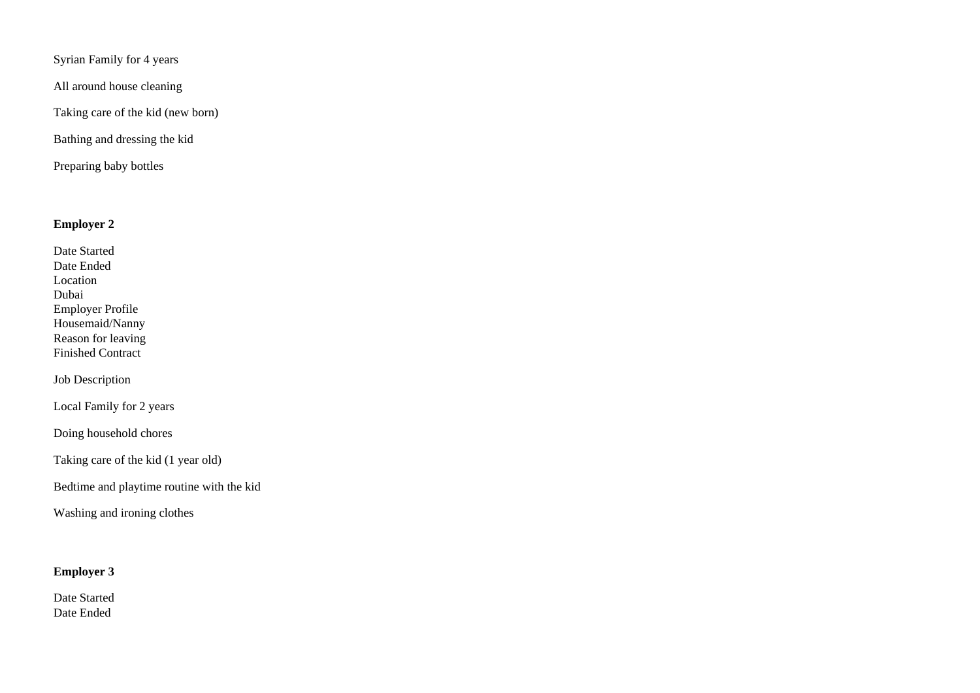Syrian Family for 4 years

All around house cleaning

Taking care of the kid (new born)

Bathing and dressing the kid

Preparing baby bottles

#### **Employer 2**

Date Started Date Ended Location Dubai Employer Profile Housemaid/Nanny Reason for leaving Finished Contract

Job Description

Local Family for 2 years

Doing household chores

Taking care of the kid (1 year old)

Bedtime and playtime routine with the kid

Washing and ironing clothes

#### **Employer 3**

Date Started Date Ended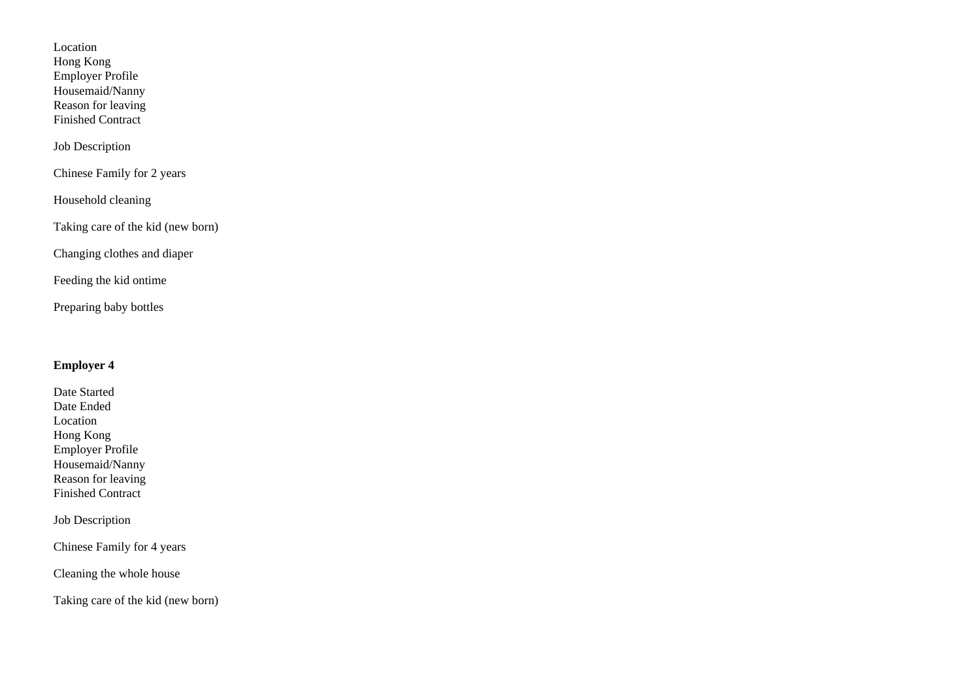Location Hong Kong Employer Profile Housemaid/Nanny Reason for leaving Finished Contract

Job Description

Chinese Family for 2 years

Household cleaning

Taking care of the kid (new born)

Changing clothes and diaper

Feeding the kid ontime

Preparing baby bottles

#### **Employer 4**

Date Started Date Ended Location Hong Kong Employer Profile Housemaid/Nanny Reason for leaving Finished Contract

Job Description

Chinese Family for 4 years

Cleaning the whole house

Taking care of the kid (new born)